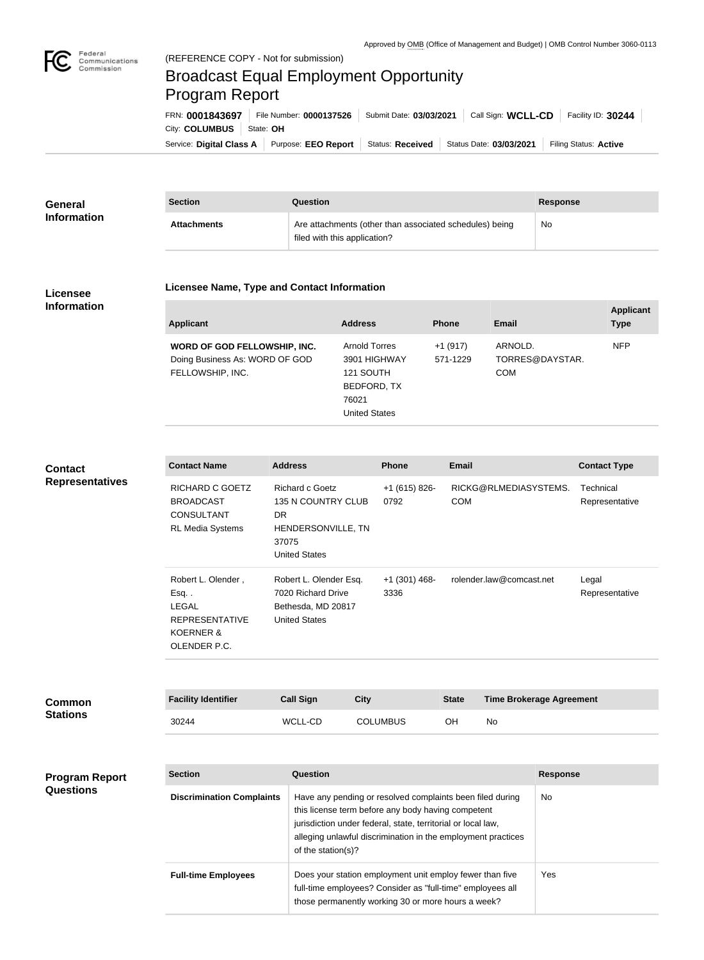

п

## Federal<br>Communications<br>Commission (REFERENCE COPY - Not for submission) Broadcast Equal Employment Opportunity Program ReportFRN: **0001843697** File Number: **0000137526** Submit Date: **03/03/2021** Call Sign: **WCLL-CD** Facility ID: **30244** City: **COLUMBUS** | State: OH

Service: Digital Class A | Purpose: EEO Report | Status: Received | Status Date: 03/03/2021 | Filing Status: Active

| <b>General</b>     | <b>Section</b>     | Question                                                                                | Response |
|--------------------|--------------------|-----------------------------------------------------------------------------------------|----------|
| <b>Information</b> | <b>Attachments</b> | Are attachments (other than associated schedules) being<br>filed with this application? | No       |

## **Licensee Information**

## **Licensee Name, Type and Contact Information**

| <b>Applicant</b>                                                                   | <b>Address</b>                                                                                    | <b>Phone</b>          | Email                                    | <b>Applicant</b><br><b>Type</b> |
|------------------------------------------------------------------------------------|---------------------------------------------------------------------------------------------------|-----------------------|------------------------------------------|---------------------------------|
| WORD OF GOD FELLOWSHIP, INC.<br>Doing Business As: WORD OF GOD<br>FELLOWSHIP, INC. | <b>Arnold Torres</b><br>3901 HIGHWAY<br>121 SOUTH<br>BEDFORD, TX<br>76021<br><b>United States</b> | $+1(917)$<br>571-1229 | ARNOLD.<br>TORRES@DAYSTAR.<br><b>COM</b> | <b>NFP</b>                      |

**Contact Representatives**

| <b>Contact Name</b>                                                                                        | <b>Address</b>                                                                                      | <b>Phone</b>            | <b>Email</b>                        | <b>Contact Type</b>         |
|------------------------------------------------------------------------------------------------------------|-----------------------------------------------------------------------------------------------------|-------------------------|-------------------------------------|-----------------------------|
| RICHARD C GOETZ<br><b>BROADCAST</b><br><b>CONSULTANT</b><br><b>RL Media Systems</b>                        | Richard c Goetz<br>135 N COUNTRY CLUB<br>DR.<br>HENDERSONVILLE, TN<br>37075<br><b>United States</b> | $+1$ (615) 826-<br>0792 | RICKG@RLMEDIASYSTEMS.<br><b>COM</b> | Technical<br>Representative |
| Robert L. Olender,<br>Esq<br><b>LEGAL</b><br><b>REPRESENTATIVE</b><br><b>KOERNER &amp;</b><br>OLENDER P.C. | Robert L. Olender Esq.<br>7020 Richard Drive<br>Bethesda, MD 20817<br><b>United States</b>          | +1 (301) 468-<br>3336   | rolender.law@comcast.net            | Legal<br>Representative     |

| <b>Common</b><br><b>Stations</b> | <b>Facility Identifier</b> | <b>Call Sign</b> | City            | <b>State</b> | <b>Time Brokerage Agreement</b> |
|----------------------------------|----------------------------|------------------|-----------------|--------------|---------------------------------|
|                                  | 30244                      | WCLL-CD          | <b>COLUMBUS</b> | OН           | No                              |

## **Program Report Questions**

| <b>Section</b>                   | <b>Question</b>                                                                                                                                                                                                                                                       | <b>Response</b> |
|----------------------------------|-----------------------------------------------------------------------------------------------------------------------------------------------------------------------------------------------------------------------------------------------------------------------|-----------------|
| <b>Discrimination Complaints</b> | Have any pending or resolved complaints been filed during<br>this license term before any body having competent<br>jurisdiction under federal, state, territorial or local law,<br>alleging unlawful discrimination in the employment practices<br>of the station(s)? | No.             |
| <b>Full-time Employees</b>       | Does your station employment unit employ fewer than five<br>full-time employees? Consider as "full-time" employees all<br>those permanently working 30 or more hours a week?                                                                                          | Yes             |